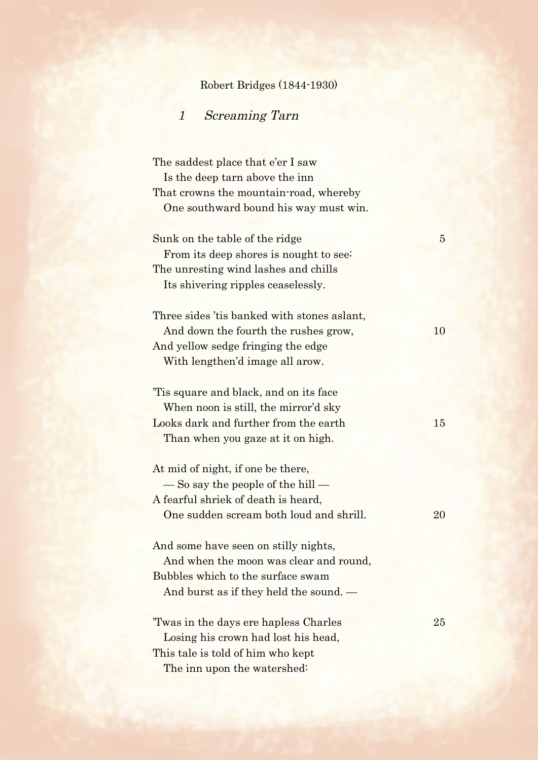## Robert Bridges (1844-1930)

## 1 Screaming Tarn

The saddest place that e'er I saw Is the deep tarn above the inn That crowns the mountain-road, whereby One southward bound his way must win.

| Sunk on the table of the ridge              | $\overline{5}$ |
|---------------------------------------------|----------------|
| From its deep shores is nought to see:      |                |
| The unresting wind lashes and chills        |                |
| Its shivering ripples ceaselessly.          |                |
|                                             |                |
| Three sides 'tis banked with stones aslant, |                |
| And down the fourth the rushes grow,        | 10             |
| And yellow sedge fringing the edge          |                |
| With lengthen'd image all arow.             |                |
|                                             |                |
| Tis square and black, and on its face       |                |
| When noon is still, the mirror'd sky        |                |
| Looks dark and further from the earth       | 15             |
| Than when you gaze at it on high.           |                |
|                                             |                |
| At mid of night, if one be there,           |                |
| $\sim$ So say the people of the hill $-$    |                |
| A fearful shriek of death is heard,         |                |
| One sudden scream both loud and shrill.     | 20             |
|                                             |                |
| And some have seen on stilly nights,        |                |
| And when the moon was clear and round,      |                |
| Bubbles which to the surface swam           |                |
| And burst as if they held the sound. —      |                |
|                                             |                |
| Twas in the days ere hapless Charles        | 25             |
| Losing his crown had lost his head,         |                |
| This tale is told of him who kept           |                |
|                                             |                |

The inn upon the watershed: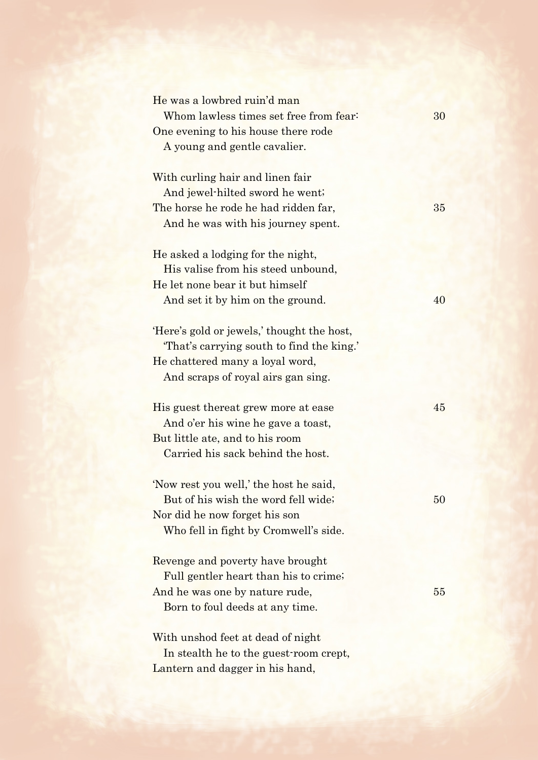| He was a lowbred ruin'd man                |        |
|--------------------------------------------|--------|
| Whom lawless times set free from fear:     | 30     |
| One evening to his house there rode        |        |
| A young and gentle cavalier.               |        |
|                                            |        |
| With curling hair and linen fair           |        |
| And jewel-hilted sword he went;            |        |
| The horse he rode he had ridden far,       | 35     |
| And he was with his journey spent.         |        |
| He asked a lodging for the night,          |        |
| His valise from his steed unbound,         |        |
| He let none bear it but himself            |        |
| And set it by him on the ground.           | 40     |
|                                            |        |
| 'Here's gold or jewels,' thought the host, |        |
| "That's carrying south to find the king."  |        |
| He chattered many a loyal word,            |        |
| And scraps of royal airs gan sing.         |        |
| His guest thereat grew more at ease        | 45     |
| And o'er his wine he gave a toast,         |        |
| But little ate, and to his room            |        |
| Carried his sack behind the host.          |        |
| 'Now rest you well,' the host he said,     |        |
| But of his wish the word fell wide;        | $50\,$ |
| Nor did he now forget his son              |        |
| Who fell in fight by Cromwell's side.      |        |
| Revenge and poverty have brought           |        |
| Full gentler heart than his to crime;      |        |
| And he was one by nature rude,             | 55     |
| Born to foul deeds at any time.            |        |
|                                            |        |
| With unshod feet at dead of night          |        |
|                                            |        |
| In stealth he to the guest-room crept,     |        |
| Lantern and dagger in his hand,            |        |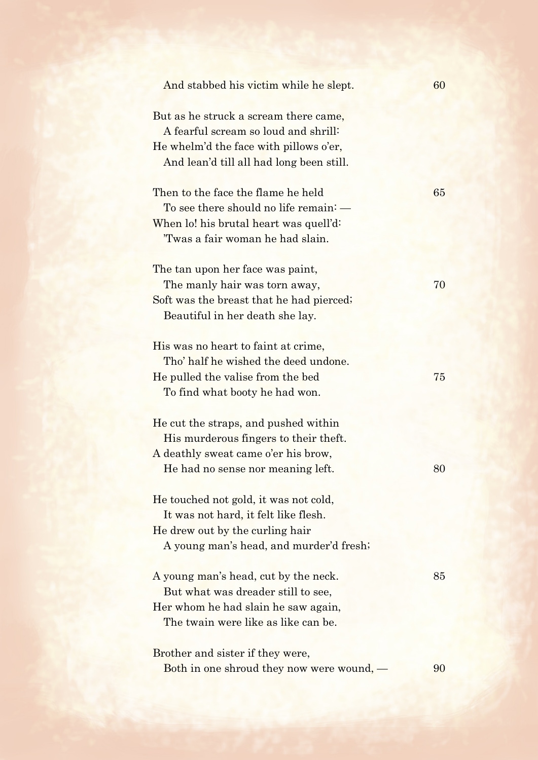| And stabbed his victim while he slept.                                                                                                                              | 60 |
|---------------------------------------------------------------------------------------------------------------------------------------------------------------------|----|
| But as he struck a scream there came,<br>A fearful scream so loud and shrill:<br>He whelm'd the face with pillows o'er,<br>And lean'd till all had long been still. |    |
| Then to the face the flame he held<br>To see there should no life remain: —<br>When lo! his brutal heart was quell'd:<br>Twas a fair woman he had slain.            | 65 |
| The tan upon her face was paint,<br>The manly hair was torn away,<br>Soft was the breast that he had pierced;<br>Beautiful in her death she lay.                    | 70 |
| His was no heart to faint at crime,<br>Tho' half he wished the deed undone.<br>He pulled the valise from the bed<br>To find what booty he had won.                  | 75 |
| He cut the straps, and pushed within<br>His murderous fingers to their theft.<br>A deathly sweat came o'er his brow,<br>He had no sense nor meaning left.           | 80 |
| He touched not gold, it was not cold,<br>It was not hard, it felt like flesh.<br>He drew out by the curling hair<br>A young man's head, and murder'd fresh;         |    |
| A young man's head, cut by the neck.<br>But what was dreader still to see,<br>Her whom he had slain he saw again,<br>The twain were like as like can be.            | 85 |
| Brother and sister if they were,<br>Both in one shroud they now were wound, —                                                                                       | 90 |
|                                                                                                                                                                     |    |